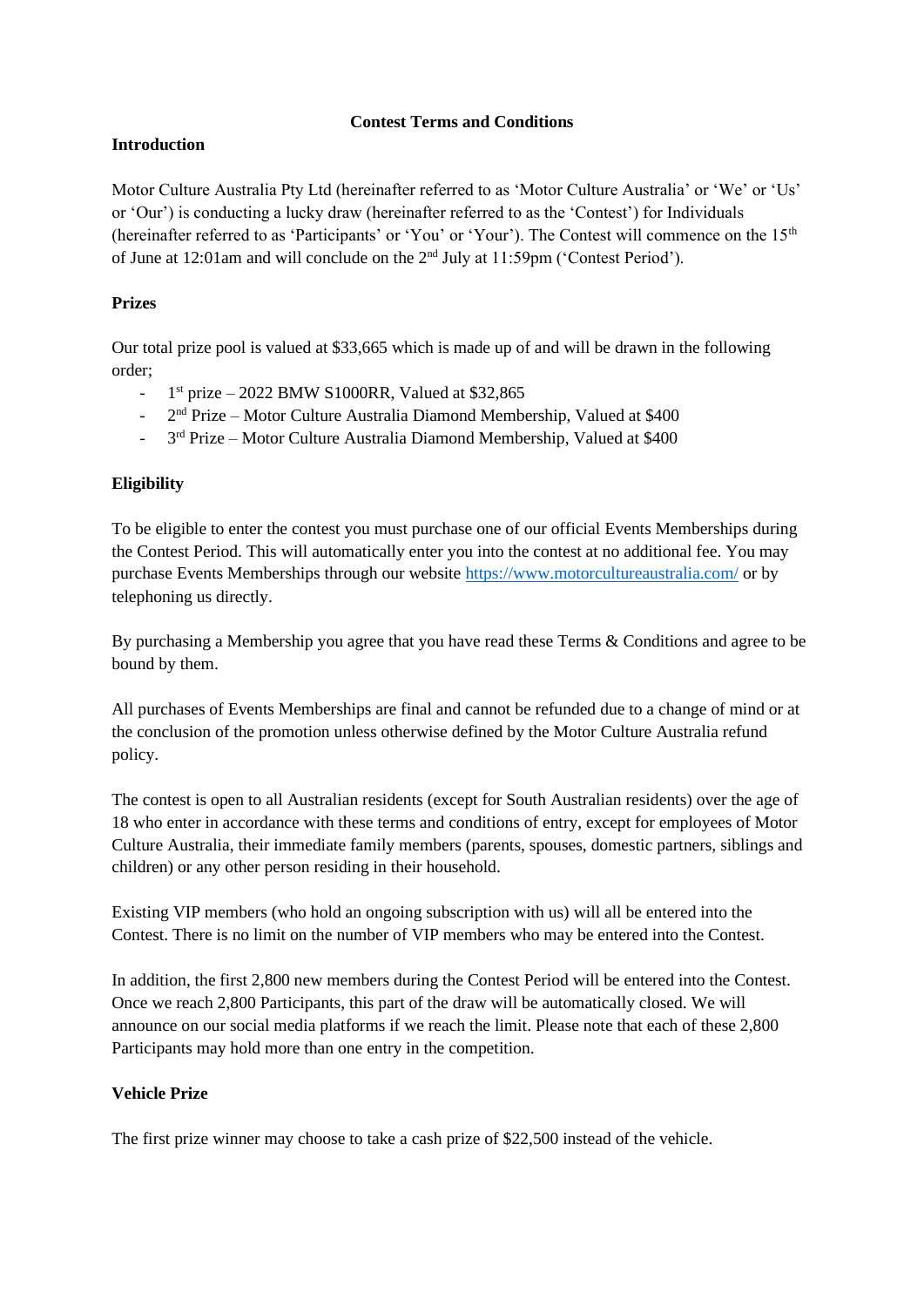#### **Contest Terms and Conditions**

# **Introduction**

Motor Culture Australia Pty Ltd (hereinafter referred to as 'Motor Culture Australia' or 'We' or 'Us' or 'Our') is conducting a lucky draw (hereinafter referred to as the 'Contest') for Individuals (hereinafter referred to as 'Participants' or 'You' or 'Your'). The Contest will commence on the 15th of June at 12:01am and will conclude on the 2nd July at 11:59pm ('Contest Period').

# **Prizes**

Our total prize pool is valued at \$33,665 which is made up of and will be drawn in the following order;

- 1  $1<sup>st</sup> prize - 2022 BMW S1000RR$ , Valued at \$32,865
- 2<sup>nd</sup> Prize Motor Culture Australia Diamond Membership, Valued at \$400
- <sup>-</sup> 3<sup>rd</sup> Prize Motor Culture Australia Diamond Membership, Valued at \$400

# **Eligibility**

To be eligible to enter the contest you must purchase one of our official Events Memberships during the Contest Period. This will automatically enter you into the contest at no additional fee. You may purchase Events Memberships through our website<https://www.motorcultureaustralia.com/> or by telephoning us directly.

By purchasing a Membership you agree that you have read these Terms & Conditions and agree to be bound by them.

All purchases of Events Memberships are final and cannot be refunded due to a change of mind or at the conclusion of the promotion unless otherwise defined by the Motor Culture Australia refund policy.

The contest is open to all Australian residents (except for South Australian residents) over the age of 18 who enter in accordance with these terms and conditions of entry, except for employees of Motor Culture Australia, their immediate family members (parents, spouses, domestic partners, siblings and children) or any other person residing in their household.

Existing VIP members (who hold an ongoing subscription with us) will all be entered into the Contest. There is no limit on the number of VIP members who may be entered into the Contest.

In addition, the first 2,800 new members during the Contest Period will be entered into the Contest. Once we reach 2,800 Participants, this part of the draw will be automatically closed. We will announce on our social media platforms if we reach the limit. Please note that each of these 2,800 Participants may hold more than one entry in the competition.

## **Vehicle Prize**

The first prize winner may choose to take a cash prize of \$22,500 instead of the vehicle.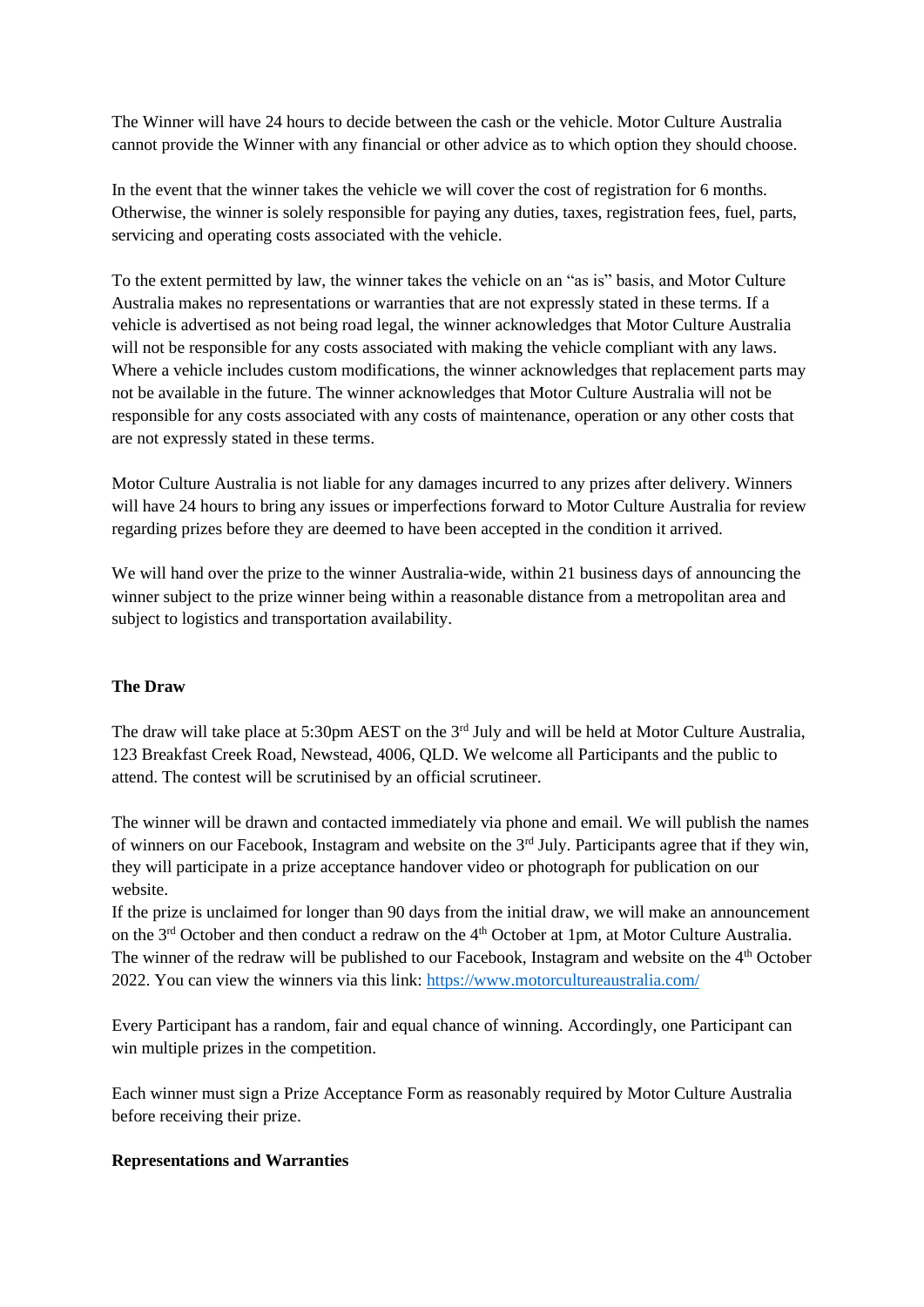The Winner will have 24 hours to decide between the cash or the vehicle. Motor Culture Australia cannot provide the Winner with any financial or other advice as to which option they should choose.

In the event that the winner takes the vehicle we will cover the cost of registration for 6 months. Otherwise, the winner is solely responsible for paying any duties, taxes, registration fees, fuel, parts, servicing and operating costs associated with the vehicle.

To the extent permitted by law, the winner takes the vehicle on an "as is" basis, and Motor Culture Australia makes no representations or warranties that are not expressly stated in these terms. If a vehicle is advertised as not being road legal, the winner acknowledges that Motor Culture Australia will not be responsible for any costs associated with making the vehicle compliant with any laws. Where a vehicle includes custom modifications, the winner acknowledges that replacement parts may not be available in the future. The winner acknowledges that Motor Culture Australia will not be responsible for any costs associated with any costs of maintenance, operation or any other costs that are not expressly stated in these terms.

Motor Culture Australia is not liable for any damages incurred to any prizes after delivery. Winners will have 24 hours to bring any issues or imperfections forward to Motor Culture Australia for review regarding prizes before they are deemed to have been accepted in the condition it arrived.

We will hand over the prize to the winner Australia-wide, within 21 business days of announcing the winner subject to the prize winner being within a reasonable distance from a metropolitan area and subject to logistics and transportation availability.

## **The Draw**

The draw will take place at 5:30pm AEST on the 3<sup>rd</sup> July and will be held at Motor Culture Australia, 123 Breakfast Creek Road, Newstead, 4006, QLD. We welcome all Participants and the public to attend. The contest will be scrutinised by an official scrutineer.

The winner will be drawn and contacted immediately via phone and email. We will publish the names of winners on our Facebook, Instagram and website on the 3<sup>rd</sup> July. Participants agree that if they win, they will participate in a prize acceptance handover video or photograph for publication on our website.

If the prize is unclaimed for longer than 90 days from the initial draw, we will make an announcement on the 3<sup>rd</sup> October and then conduct a redraw on the 4<sup>th</sup> October at 1pm, at Motor Culture Australia. The winner of the redraw will be published to our Facebook, Instagram and website on the  $4<sup>th</sup>$  October 2022. You can view the winners via this link:<https://www.motorcultureaustralia.com/>

Every Participant has a random, fair and equal chance of winning. Accordingly, one Participant can win multiple prizes in the competition.

Each winner must sign a Prize Acceptance Form as reasonably required by Motor Culture Australia before receiving their prize.

#### **Representations and Warranties**